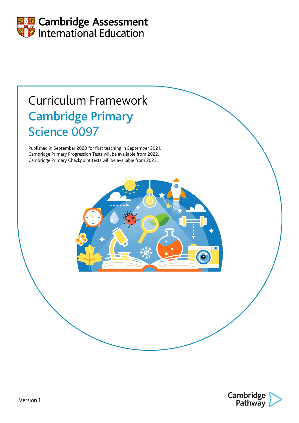

# Curriculum Framework Cambridge Primary Science 0097

Published in September 2020 for first teaching in September 2021. Cambridge Primary Progression Tests will be available from 2022. Cambridge Primary Checkpoint tests will be available from 2023.



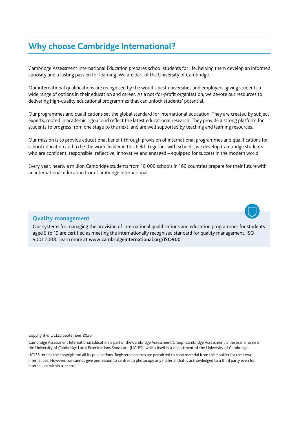# **Why choose Cambridge International?**

Cambridge Assessment International Education prepares school students for life, helping them develop an informed curiosity and a lasting passion for learning. We are part of the University of Cambridge.

Our international qualifications are recognised by the world's best universities and employers, giving students a wide range of options in their education and career. As a not-for-profit organisation, we devote our resources to delivering high-quality educational programmes that can unlock students' potential.

Our programmes and qualifications set the global standard for international education. They are created by subject experts, rooted in academic rigour and reflect the latest educational research. They provide a strong platform for students to progress from one stage to the next, and are well supported by teaching and learning resources.

Our mission is to provide educational benefit through provision of international programmes and qualifications for school education and to be the world leader in this field. Together with schools, we develop Cambridge students who are confident, responsible, reflective, innovative and engaged – equipped for success in the modern world.

Every year, nearly a million Cambridge students from 10 000 schools in 160 countries prepare for their futurewith an international education from Cambridge International.



#### **Quality management**

Our systems for managing the provision of international qualifications and education programmes for students aged 5 to 19 are certified as meeting the internationally recognised standard for quality management, ISO 9001:2008. Learn more at [www.cambridgeinternational.org/ISO9001](http://www.cambridgeinternational.org/ISO9001)

#### Copyright © UCLES September 2020

Cambridge Assessment International Education is part of the Cambridge Assessment Group. Cambridge Assessment is the brand name of the University of Cambridge Local Examinations Syndicate (UCLES), which itself is a department of the University of Cambridge. UCLES retains the copyright on all its publications. Registered centres are permitted to copy material from this booklet for their own internal use. However, we cannot give permission to centres to photocopy any material that is acknowledged to a third party even for internal use within a centre.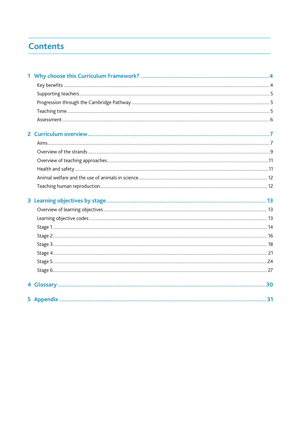# <span id="page-2-0"></span>**Contents**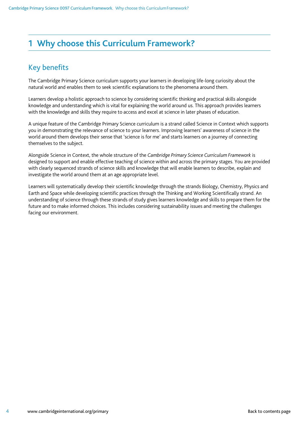# <span id="page-3-0"></span>**1 Why choose this Curriculum Framework?**

### <span id="page-3-1"></span>Key benefits

The Cambridge Primary Science curriculum supports your learners in developing life-long curiosity about the natural world and enables them to seek scientific explanations to the phenomena around them.

Learners develop a holistic approach to science by considering scientific thinking and practical skills alongside knowledge and understanding which is vital for explaining the world around us. This approach provides learners with the knowledge and skills they require to access and excel at science in later phases of education.

A unique feature of the Cambridge Primary Science curriculum is a strand called Science in Context which supports you in demonstrating the relevance of science to your learners. Improving learners' awareness of science in the world around them develops their sense that 'science is for me' and starts learners on a journey of connecting themselves to the subject.

Alongside Science in Context, the whole structure of the *Cambridge Primary Science Curriculum Framework* is designed to support and enable effective teaching of science within and across the primary stages. You are provided with clearly sequenced strands of science skills and knowledge that will enable learners to describe, explain and investigate the world around them at an age appropriate level.

Learners will systematically develop their scientific knowledge through the strands Biology, Chemistry, Physics and Earth and Space while developing scientific practices through the Thinking and Working Scientifically strand. An understanding of science through these strands of study gives learners knowledge and skills to prepare them for the future and to make informed choices. This includes considering sustainability issues and meeting the challenges facing our environment.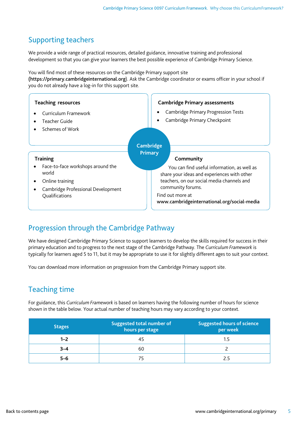### <span id="page-4-0"></span>Supporting teachers

We provide a wide range of practical resources, detailed guidance, innovative training and professional development so that you can give your learners the best possible experience of Cambridge Primary Science.

You will find most of these resources on the Cambridge Primary support site

(https://primary.cambridgeinternational.org). Ask the Cambridge coordinator or exams officer in your school if you do not already have a log-in for this support site.

| <b>Teaching resources</b><br>Curriculum Framework<br>Teacher Guide<br>Schemes of Work                                                    | <b>Cambridge Primary assessments</b><br><b>Cambridge Primary Progression Tests</b><br>$\bullet$<br>Cambridge Primary Checkpoint<br>$\bullet$                                                                                                                                 |
|------------------------------------------------------------------------------------------------------------------------------------------|------------------------------------------------------------------------------------------------------------------------------------------------------------------------------------------------------------------------------------------------------------------------------|
| <b>Training</b><br>Face-to-face workshops around the<br>world<br>Online training<br>Cambridge Professional Development<br>Qualifications | Cambridge<br><b>Primary</b><br>Community<br>You can find useful information, as well as<br>share your ideas and experiences with other<br>teachers, on our social media channels and<br>community forums.<br>Find out more at<br>www.cambridgeinternational.org/social-media |

### <span id="page-4-1"></span>Progression through the Cambridge Pathway

We have designed Cambridge Primary Science to support learners to develop the skills required for success in their primary education and to progress to the next stage of the Cambridge Pathway. The *Curriculum Framework* is typically for learners aged 5 to 11, but it may be appropriate to use it for slightly different ages to suit your context.

You can download more information on progression from the Cambridge Primary support site.

### <span id="page-4-2"></span>Teaching time

For guidance, this *Curriculum Framework* is based on learners having the following number of hours for science shown in the table below. Your actual number of teaching hours may vary according to your context.

| <b>Stages</b> | Suggested total number of<br>hours per stage | <b>Suggested hours of science</b><br>per week |
|---------------|----------------------------------------------|-----------------------------------------------|
| $1 - 2$       |                                              |                                               |
| $3 - 4$       | 60                                           |                                               |
| $5 - 6$       |                                              |                                               |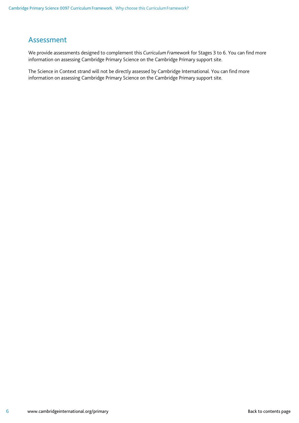### <span id="page-5-0"></span>Assessment

We provide assessments designed to complement this *Curriculum Framework* for Stages 3 to 6. You can find more information on assessing Cambridge Primary Science on the Cambridge Primary support site.

The Science in Context strand will not be directly assessed by Cambridge International. You can find more information on assessing Cambridge Primary Science on the Cambridge Primary support site.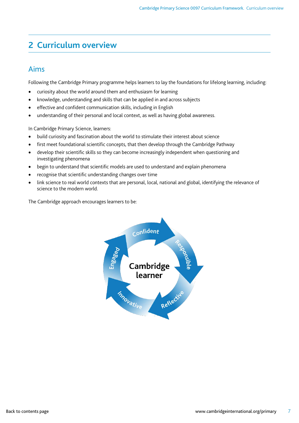# <span id="page-6-0"></span>**2 Curriculum overview**

### <span id="page-6-1"></span>Aims

Following the Cambridge Primary programme helps learners to lay the foundations for lifelong learning, including:

- curiosity about the world around them and enthusiasm for learning
- knowledge, understanding and skills that can be applied in and across subjects
- effective and confident communication skills, including in English
- understanding of their personal and local context, as well as having global awareness.

In Cambridge Primary Science, learners:

- build curiosity and fascination about the world to stimulate their interest about science
- first meet foundational scientific concepts, that then develop through the Cambridge Pathway
- develop their scientific skills so they can become increasingly independent when questioning and investigating phenomena
- begin to understand that scientific models are used to understand and explain phenomena
- recognise that scientific understanding changes over time
- link science to real world contexts that are personal, local, national and global, identifying the relevance of science to the modern world.

The Cambridge approach encourages learners to be:

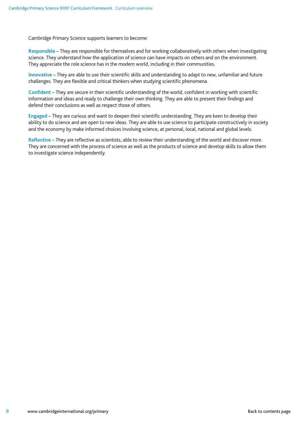Cambridge Primary Science supports learners to become:

**Responsible** – They are responsible for themselves and for working collaboratively with others when investigating science. They understand how the application of science can have impacts on others and on the environment. They appreciate the role science has in the modern world, including in their communities.

**Innovative** – They are able to use their scientific skills and understanding to adapt to new, unfamiliar and future challenges. They are flexible and critical thinkers when studying scientific phenomena.

**Confident** – They are secure in their scientific understanding of the world, confident in working with scientific information and ideas and ready to challenge their own thinking. They are able to present their findings and defend their conclusions as well as respect those of others.

**Engaged** – They are curious and want to deepen their scientific understanding. They are keen to develop their ability to do science and are open to new ideas. They are able to use science to participate constructively in society and the economy by make informed choices involving science, at personal, local, national and global levels.

**Reflective** – They are reflective as scientists, able to review their understanding of the world and discover more. They are concerned with the process of science as well as the products of science and develop skills to allow them to investigate science independently.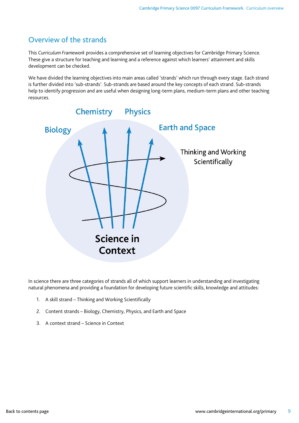### <span id="page-8-0"></span>Overview of the strands

This *Curriculum Framework* provides a comprehensive set of learning objectives for Cambridge Primary Science. These give a structure for teaching and learning and a reference against which learners' attainment and skills development can be checked.

We have divided the learning objectives into main areas called 'strands' which run through every stage. Each strand is further divided into 'sub-strands'. Sub-strands are based around the key concepts of each strand. Sub-strands help to identify progression and are useful when designing long-term plans, medium-term plans and other teaching resources.



In science there are three categories of strands all of which support learners in understanding and investigating natural phenomena and providing a foundation for developing future scientific skills, knowledge and attitudes:

- 1. A skill strand Thinking and Working Scientifically
- 2. Content strands Biology, Chemistry, Physics, and Earth and Space
- 3. A context strand Science in Context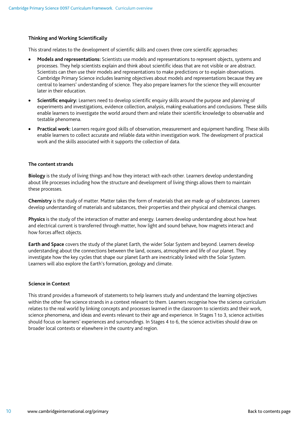#### **Thinking and Working Scientifically**

This strand relates to the development of scientific skills and covers three core scientific approaches:

- **Models and representations:** Scientists use models and representations to represent objects, systems and processes. They help scientists explain and think about scientific ideas that are not visible or are abstract. Scientists can then use their models and representations to make predictions or to explain observations. Cambridge Primary Science includes learning objectives about models and representations because they are central to learners' understanding of science. They also prepare learners for the science they will encounter later in their education.
- **Scientific enquiry:** Learners need to develop scientific enquiry skills around the purpose and planning of experiments and investigations, evidence collection, analysis, making evaluations and conclusions. These skills enable learners to investigate the world around them and relate their scientific knowledge to observable and testable phenomena.
- **Practical work:** Learners require good skills of observation, measurement and equipment handling. These skills enable learners to collect accurate and reliable data within investigation work. The development of practical work and the skills associated with it supports the collection of data.

#### **The content strands**

**Biology** is the study of living things and how they interact with each other. Learners develop understanding about life processes including how the structure and development of living things allows them to maintain these processes.

**Chemistry** is the study of matter. Matter takes the form of materials that are made up of substances. Learners develop understanding of materials and substances, their properties and their physical and chemical changes.

**Physics** is the study of the interaction of matter and energy. Learners develop understanding about how heat and electrical current is transferred through matter, how light and sound behave, how magnets interact and how forces affect objects.

**Earth and Space** covers the study of the planet Earth, the wider Solar System and beyond. Learners develop understanding about the connections between the land, oceans, atmosphere and life of our planet. They investigate how the key cycles that shape our planet Earth are inextricably linked with the Solar System. Learners will also explore the Earth's formation, geology and climate.

#### **Science in Context**

This strand provides a framework of statements to help learners study and understand the learning objectives within the other five science strands in a context relevant to them. Learners recognise how the science curriculum relates to the real world by linking concepts and processes learned in the classroom to scientists and their work, science phenomena, and ideas and events relevant to their age and experience. In Stages 1 to 3, science activities should focus on learners' experiences and surroundings. In Stages 4 to 6, the science activities should draw on broader local contexts or elsewhere in the country and region.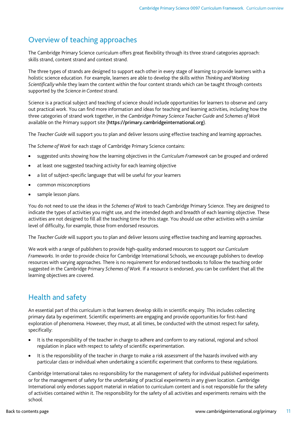### <span id="page-10-0"></span>Overview of teaching approaches

The Cambridge Primary Science curriculum offers great flexibility through its three strand categories approach: skills strand, content strand and context strand.

The three types of strands are designed to support each other in every stage of learning to provide learners with a holistic science education. For example, learners are able to develop the skills within *Thinking and Working Scientifically* while they learn the content within the four content strands which can be taught through contexts supported by the *Science in Context* strand.

Science is a practical subject and teaching of science should include opportunities for learners to observe and carry out practical work. You can find more information and ideas for teaching and learning activities, including how the three categories of strand work together, in the *Cambridge Primary Science Teacher Guide* and *Schemes of Work* available on the Primary support site ([https://primary.cambridgeinternational.org](https://primary.cambridgeinternational.org/)).

The *Teacher Guide* will support you to plan and deliver lessons using effective teaching and learning approaches.

The *Scheme of Work* for each stage of Cambridge Primary Science contains:

- suggested units showing how the learning objectives in the *Curriculum Framework* can be grouped and ordered
- at least one suggested teaching activity for each learning objective
- a list of subject-specific language that will be useful for your learners
- common misconceptions
- sample lesson plans.

You do not need to use the ideas in the *Schemes of Work* to teach Cambridge Primary Science. They are designed to indicate the types of activities you might use, and the intended depth and breadth of each learning objective. These activities are not designed to fill all the teaching time for this stage. You should use other activities with a similar level of difficulty, for example, those from endorsed resources.

The *Teacher Guide* will support you to plan and deliver lessons using effective teaching and learning approaches.

We work with a range of publishers to provide high-quality endorsed resources to support our *Curriculum Frameworks*. In order to provide choice for Cambridge International Schools, we encourage publishers to develop resources with varying approaches. There is no requirement for endorsed textbooks to follow the teaching order suggested in the Cambridge Primary *Schemes of Work*. If a resource is endorsed, you can be confident that all the learning objectives are covered.

### <span id="page-10-1"></span>Health and safety

An essential part of this curriculum is that learners develop skills in scientific enquiry. This includes collecting primary data by experiment. Scientific experiments are engaging and provide opportunities for first-hand exploration of phenomena. However, they must, at all times, be conducted with the utmost respect for safety, specifically:

- It is the responsibility of the teacher in charge to adhere and conform to any national, regional and school regulation in place with respect to safety of scientific experimentation.
- It is the responsibility of the teacher in charge to make a risk assessment of the hazards involved with any particular class or individual when undertaking a scientific experiment that conforms to these regulations.

Cambridge International takes no responsibility for the management of safety for individual published experiments or for the management of safety for the undertaking of practical experiments in any given location. Cambridge International only endorses support material in relation to curriculum content and is not responsible for the safety of activities contained within it. The responsibility for the safety of all activities and experiments remains with the school.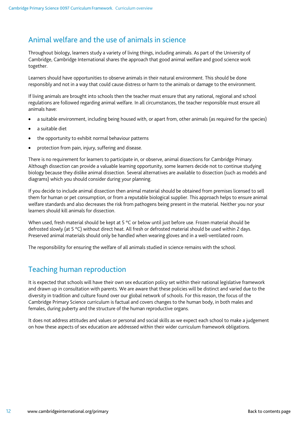### <span id="page-11-0"></span>Animal welfare and the use of animals in science

Throughout biology, learners study a variety of living things, including animals. As part of the University of Cambridge, Cambridge International shares the approach that good animal welfare and good science work together.

Learners should have opportunities to observe animals in their natural environment. This should be done responsibly and not in a way that could cause distress or harm to the animals or damage to the environment.

If living animals are brought into schools then the teacher must ensure that any national, regional and school regulations are followed regarding animal welfare. In all circumstances, the teacher responsible must ensure all animals have:

- a suitable environment, including being housed with, or apart from, other animals (as required for the species)
- a suitable diet
- the opportunity to exhibit normal behaviour patterns
- protection from pain, injury, suffering and disease.

There is no requirement for learners to participate in, or observe, animal dissections for Cambridge Primary. Although dissection can provide a valuable learning opportunity, some learners decide not to continue studying biology because they dislike animal dissection. Several alternatives are available to dissection (such as models and diagrams) which you should consider during your planning.

If you decide to include animal dissection then animal material should be obtained from premises licensed to sell them for human or pet consumption, or from a reputable biological supplier. This approach helps to ensure animal welfare standards and also decreases the risk from pathogens being present in the material. Neither you nor your learners should kill animals for dissection.

When used, fresh material should be kept at 5 °C or below until just before use. Frozen material should be defrosted slowly (at 5 °C) without direct heat. All fresh or defrosted material should be used within 2 days. Preserved animal materials should only be handled when wearing gloves and in a well-ventilated room.

The responsibility for ensuring the welfare of all animals studied in science remains with the school.

### <span id="page-11-1"></span>Teaching human reproduction

It is expected that schools will have their own sex education policy set within their national legislative framework and drawn up in consultation with parents. We are aware that these policies will be distinct and varied due to the diversity in tradition and culture found over our global network of schools. For this reason, the focus of the Cambridge Primary Science curriculum is factual and covers changes to the human body, in both males and females, during puberty and the structure of the human reproductive organs.

It does not address attitudes and values or personal and social skills as we expect each school to make a judgement on how these aspects of sex education are addressed within their wider curriculum framework obligations.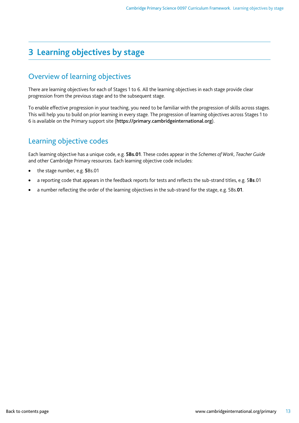# <span id="page-12-0"></span>**3 Learning objectives by stage**

### <span id="page-12-1"></span>Overview of learning objectives

There are learning objectives for each of Stages 1 to 6. All the learning objectives in each stage provide clear progression from the previous stage and to the subsequent stage.

To enable effective progression in your teaching, you need to be familiar with the progression of skills across stages. This will help you to build on prior learning in every stage. The progression of learning objectives across Stages 1 to 6 is available on the Primary support site ([https://primary.cambridgeinternational.org](https://primary.cambridgeinternational.org/)).

### <span id="page-12-2"></span>Learning objective codes

Each learning objective has a unique code, e.g. **5Bs.01**. These codes appear in the *Schemes of Work*, *Teacher Guide* and other Cambridge Primary resources. Each learning objective code includes:

- the stage number, e.g. **5**Bs.01
- a reporting code that appears in the feedback reports for tests and reflects the sub-strand titles, e.g. 5**Bs**.01
- a number reflecting the order of the learning objectives in the sub-strand for the stage, e.g. 5Bs.**01**.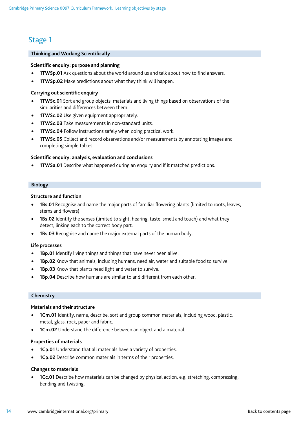### <span id="page-13-0"></span>Stage 1

#### **Thinking and Working Scientifically**

#### **Scientific enquiry: purpose and planning**

- **1TWSp.01** Ask questions about the world around us and talk about how to find answers.
- **1TWSp.02** Make predictions about what they think will happen.

#### **Carrying out scientific enquiry**

- **1TWSc.01** Sort and group objects, materials and living things based on observations of the similarities and differences between them.
- **1TWSc.02** Use given equipment appropriately.
- **1TWSc.03** Take measurements in non-standard units.
- **1TWSc.04** Follow instructions safely when doing practical work.
- **1TWSc.05** Collect and record observations and/or measurements by annotating images and completing simple tables.

#### **Scientific enquiry: analysis, evaluation and conclusions**

**1TWSa.01** Describe what happened during an enquiry and if it matched predictions.

#### **Biology**

#### **Structure and function**

- **1Bs.01** Recognise and name the major parts of familiar flowering plants (limited to roots, leaves, stems and flowers).
- **1Bs.02** Identify the senses (limited to sight, hearing, taste, smell and touch) and what they detect, linking each to the correct body part.
- **1Bs.03** Recognise and name the major external parts of the human body.

#### **Life processes**

- **1Bp.01** Identify living things and things that have never been alive.
- **1Bp.02** Know that animals, including humans, need air, water and suitable food to survive.
- **1Bp.03** Know that plants need light and water to survive.
- **1Bp.04** Describe how humans are similar to and different from each other.

#### **Chemistry**

#### **Materials and their structure**

- **1Cm.01** Identify, name, describe, sort and group common materials, including wood, plastic, metal, glass, rock, paper and fabric.
- **1Cm.02** Understand the difference between an object and a material.

#### **Properties of materials**

- **1Cp.01** Understand that all materials have a variety of properties.
- **1Cp.02** Describe common materials in terms of their properties.

#### **Changes to materials**

• **1Cc.01** Describe how materials can be changed by physical action, e.g. stretching, compressing, bending and twisting.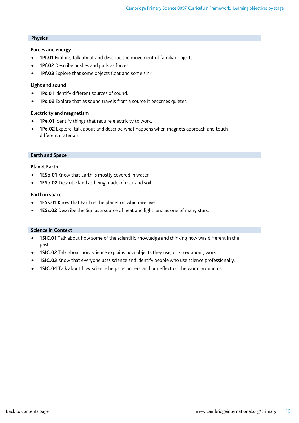#### **Physics**

#### **Forces and energy**

- **1Pf.01** Explore, talk about and describe the movement of familiar objects.
- **1Pf.02** Describe pushes and pulls as forces.
- **1Pf.03** Explore that some objects float and some sink.

#### **Light and sound**

- **1Ps.01** Identify different sources of sound.
- **1Ps.02** Explore that as sound travels from a source it becomes quieter.

#### **Electricity and magnetism**

- **1Pe.01** Identify things that require electricity to work.
- **1Pe.02** Explore, talk about and describe what happens when magnets approach and touch different materials.

#### **Earth and Space**

#### **Planet Earth**

- **1ESp.01** Know that Earth is mostly covered in water.
- **1ESp.02** Describe land as being made of rock and soil.

#### **Earth in space**

- **1ESs.01** Know that Earth is the planet on which we live.
- **1ESs.02** Describe the Sun as a source of heat and light, and as one of many stars.

#### **Science in Context**

- **1SIC.01** Talk about how some of the scientific knowledge and thinking now was different in the past.
- **1SIC.02** Talk about how science explains how objects they use, or know about, work.
- **1SIC.03** Know that everyone uses science and identify people who use science professionally.
- **1SIC.04** Talk about how science helps us understand our effect on the world around us.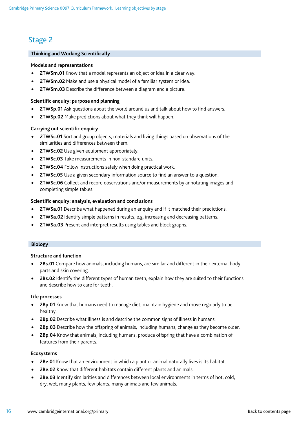### <span id="page-15-0"></span>Stage 2

#### **Thinking and Working Scientifically**

#### **Models and representations**

- **2TWSm.01** Know that a model represents an object or idea in a clear way.
- **2TWSm.02** Make and use a physical model of a familiar system or idea.
- **2TWSm.03** Describe the difference between a diagram and a picture.

#### **Scientific enquiry: purpose and planning**

- **2TWSp.01** Ask questions about the world around us and talk about how to find answers.
- **2TWSp.02** Make predictions about what they think will happen.

#### **Carrying out scientific enquiry**

- **2TWSc.01** Sort and group objects, materials and living things based on observations of the similarities and differences between them.
- **2TWSc.02** Use given equipment appropriately.
- **2TWSc.03** Take measurements in non-standard units.
- **2TWSc.04** Follow instructions safely when doing practical work.
- **2TWSc.05** Use a given secondary information source to find an answer to a question.
- **2TWSc.06** Collect and record observations and/or measurements by annotating images and completing simple tables.

#### **Scientific enquiry: analysis, evaluation and conclusions**

- **2TWSa.01** Describe what happened during an enquiry and if it matched their predictions.
- **2TWSa.02** Identify simple patterns in results, e.g. increasing and decreasing patterns.
- **2TWSa.03** Present and interpret results using tables and block graphs.

#### **Biology**

#### **Structure and function**

- **2Bs.01** Compare how animals, including humans, are similar and different in their external body parts and skin covering.
- **2Bs.02** Identify the different types of human teeth, explain how they are suited to their functions and describe how to care for teeth.

#### **Life processes**

- **2Bp.01** Know that humans need to manage diet, maintain hygiene and move regularly to be healthy.
- **2Bp.02** Describe what illness is and describe the common signs of illness in humans.
- **2Bp.03** Describe how the offspring of animals, including humans, change as they become older.
- **2Bp.04** Know that animals, including humans, produce offspring that have a combination of features from their parents.

#### **Ecosystems**

- **2Be.01** Know that an environment in which a plant or animal naturally lives is its habitat.
- **2Be.02** Know that different habitats contain different plants and animals.
- **2Be.03** Identify similarities and differences between local environments in terms of hot, cold, dry, wet, many plants, few plants, many animals and few animals.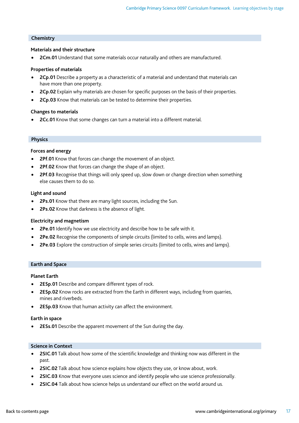#### **Chemistry**

#### **Materials and their structure**

• **2Cm.01** Understand that some materials occur naturally and others are manufactured.

#### **Properties of materials**

- **2Cp.01** Describe a property as a characteristic of a material and understand that materials can have more than one property.
- **2Cp.02** Explain why materials are chosen for specific purposes on the basis of their properties.
- **2Cp.03** Know that materials can be tested to determine their properties.

#### **Changes to materials**

• **2Cc.01** Know that some changes can turn a material into a different material.

#### **Physics**

#### **Forces and energy**

- **2Pf.01** Know that forces can change the movement of an object.
- **2Pf.02** Know that forces can change the shape of an object.
- **2Pf.03** Recognise that things will only speed up, slow down or change direction when something else causes them to do so.

#### **Light and sound**

- **2Ps.01** Know that there are many light sources, including the Sun.
- **2Ps.02** Know that darkness is the absence of light.

#### **Electricity and magnetism**

- **2Pe.01** Identify how we use electricity and describe how to be safe with it.
- **2Pe.02** Recognise the components of simple circuits (limited to cells, wires and lamps).
- **2Pe.03** Explore the construction of simple series circuits (limited to cells, wires and lamps).

#### **Earth and Space**

#### **Planet Earth**

- **2ESp.01** Describe and compare different types of rock.
- **2ESp.02** Know rocks are extracted from the Earth in different ways, including from quarries, mines and riverbeds.
- **2ESp.03** Know that human activity can affect the environment.

#### **Earth in space**

• **2ESs.01** Describe the apparent movement of the Sun during the day.

#### **Science in Context**

- **2SIC.01** Talk about how some of the scientific knowledge and thinking now was different in the past.
- **2SIC.02** Talk about how science explains how objects they use, or know about, work.
- **2SIC.03** Know that everyone uses science and identify people who use science professionally.
- **2SIC.04** Talk about how science helps us understand our effect on the world around us.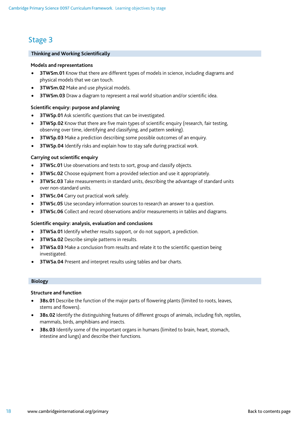# <span id="page-17-0"></span>Stage 3

#### **Thinking and Working Scientifically**

#### **Models and representations**

- **3TWSm.01** Know that there are different types of models in science, including diagrams and physical models that we can touch.
- **3TWSm.02** Make and use physical models.
- **3TWSm.03** Draw a diagram to represent a real world situation and/or scientific idea.

#### **Scientific enquiry: purpose and planning**

- **3TWSp.01** Ask scientific questions that can be investigated.
- **3TWSp.02** Know that there are five main types of scientific enquiry (research, fair testing, observing over time, identifying and classifying, and pattern seeking).
- **3TWSp.03** Make a prediction describing some possible outcomes of an enquiry.
- **3TWSp.04** Identify risks and explain how to stay safe during practical work.

#### **Carrying out scientific enquiry**

- **3TWSc.01** Use observations and tests to sort, group and classify objects.
- **3TWSc.02** Choose equipment from a provided selection and use it appropriately.
- **3TWSc.03** Take measurements in standard units, describing the advantage of standard units over non-standard units.
- **3TWSc.04** Carry out practical work safely.
- **3TWSc.05** Use secondary information sources to research an answer to a question.
- **3TWSc.06** Collect and record observations and/or measurements in tables and diagrams.

#### **Scientific enquiry: analysis, evaluation and conclusions**

- **3TWSa.01** Identify whether results support, or do not support, a prediction.
- **3TWSa.02** Describe simple patterns in results.
- **3TWSa.03** Make a conclusion from results and relate it to the scientific question being investigated.
- **3TWSa.04** Present and interpret results using tables and bar charts.

#### **Biology**

#### **Structure and function**

- **3Bs.01** Describe the function of the major parts of flowering plants (limited to roots, leaves, stems and flowers).
- **3Bs.02** Identify the distinguishing features of different groups of animals, including fish, reptiles, mammals, birds, amphibians and insects.
- **3Bs.03** Identify some of the important organs in humans (limited to brain, heart, stomach, intestine and lungs) and describe their functions.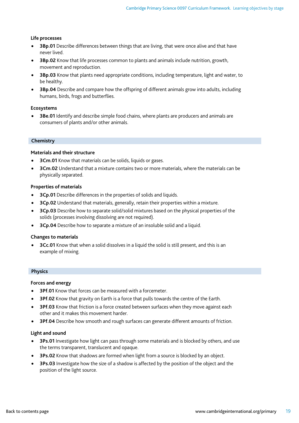#### **Life processes**

- **3Bp.01** Describe differences between things that are living, that were once alive and that have never lived.
- **3Bp.02** Know that life processes common to plants and animals include nutrition, growth, movement and reproduction.
- **3Bp.03** Know that plants need appropriate conditions, including temperature, light and water, to be healthy.
- **3Bp.04** Describe and compare how the offspring of different animals grow into adults, including humans, birds, frogs and butterflies.

#### **Ecosystems**

• **3Be.01** Identify and describe simple food chains, where plants are producers and animals are consumers of plants and/or other animals.

#### **Chemistry**

#### **Materials and their structure**

- **3Cm.01** Know that materials can be solids, liquids or gases.
- **3Cm.02** Understand that a mixture contains two or more materials, where the materials can be physically separated.

#### **Properties of materials**

- **3Cp.01** Describe differences in the properties of solids and liquids.
- **3Cp.02** Understand that materials, generally, retain their properties within a mixture.
- **3Cp.03** Describe how to separate solid/solid mixtures based on the physical properties of the solids (processes involving dissolving are not required).
- **3Cp.04** Describe how to separate a mixture of an insoluble solid and a liquid.

#### **Changes to materials**

• **3Cc.01** Know that when a solid dissolves in a liquid the solid is still present, and this is an example of mixing.

#### **Physics**

#### **Forces and energy**

- **3Pf.01** Know that forces can be measured with a forcemeter.
- **3Pf.02** Know that gravity on Earth is a force that pulls towards the centre of the Earth.
- **3Pf.03** Know that friction is a force created between surfaces when they move against each other and it makes this movement harder.
- **3Pf.04** Describe how smooth and rough surfaces can generate different amounts of friction.

#### **Light and sound**

- **3Ps.01** Investigate how light can pass through some materials and is blocked by others, and use the terms transparent, translucent and opaque.
- **3Ps.02** Know that shadows are formed when light from a source is blocked by an object.
- **3Ps.03** Investigate how the size of a shadow is affected by the position of the object and the position of the light source.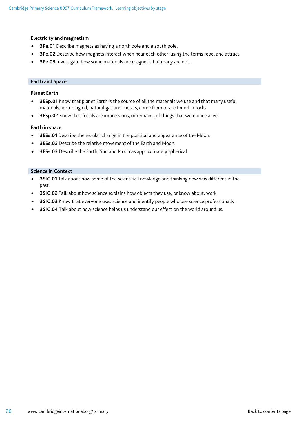#### **Electricity and magnetism**

- **3Pe.01** Describe magnets as having a north pole and a south pole.
- **3Pe.02** Describe how magnets interact when near each other, using the terms repel and attract.
- **3Pe.03** Investigate how some materials are magnetic but many are not.

#### **Earth and Space**

#### **Planet Earth**

- **3ESp.01** Know that planet Earth is the source of all the materials we use and that many useful materials, including oil, natural gas and metals, come from or are found in rocks.
- **3ESp.02** Know that fossils are impressions, or remains, of things that were once alive.

#### **Earth in space**

- **3ESs.01** Describe the regular change in the position and appearance of the Moon.
- **3ESs.02** Describe the relative movement of the Earth and Moon.
- **3ESs.03** Describe the Earth, Sun and Moon as approximately spherical.

#### **Science in Context**

- **3SIC.01** Talk about how some of the scientific knowledge and thinking now was different in the past.
- **3SIC.02** Talk about how science explains how objects they use, or know about, work.
- **3SIC.03** Know that everyone uses science and identify people who use science professionally.
- **3SIC.04** Talk about how science helps us understand our effect on the world around us.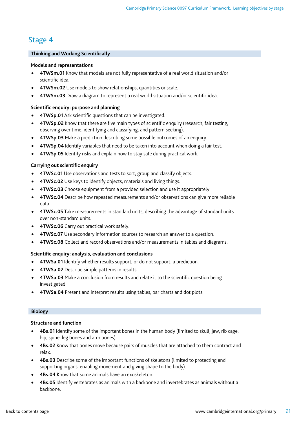### <span id="page-20-0"></span>Stage 4

#### **Thinking and Working Scientifically**

#### **Models and representations**

- **4TWSm.01** Know that models are not fully representative of a real world situation and/or scientific idea.
- **4TWSm.02** Use models to show relationships, quantities or scale.
- **4TWSm.03** Draw a diagram to represent a real world situation and/or scientific idea.

#### **Scientific enquiry: purpose and planning**

- **4TWSp.01** Ask scientific questions that can be investigated.
- **4TWSp.02** Know that there are five main types of scientific enquiry (research, fair testing, observing over time, identifying and classifying, and pattern seeking).
- **4TWSp.03** Make a prediction describing some possible outcomes of an enquiry.
- **4TWSp.04** Identify variables that need to be taken into account when doing a fair test.
- **4TWSp.05** Identify risks and explain how to stay safe during practical work.

#### **Carrying out scientific enquiry**

- **4TWSc.01** Use observations and tests to sort, group and classify objects.
- **4TWSc.02** Use keys to identify objects, materials and living things.
- **4TWSc.03** Choose equipment from a provided selection and use it appropriately.
- **4TWSc.04** Describe how repeated measurements and/or observations can give more reliable data.
- **4TWSc.05** Take measurements in standard units, describing the advantage of standard units over non-standard units.
- **4TWSc.06** Carry out practical work safely.
- **4TWSc.07** Use secondary information sources to research an answer to a question.
- **4TWSc.08** Collect and record observations and/or measurements in tables and diagrams.

#### **Scientific enquiry: analysis, evaluation and conclusions**

- **4TWSa.01** Identify whether results support, or do not support, a prediction.
- **4TWSa.02** Describe simple patterns in results.
- **4TWSa.03** Make a conclusion from results and relate it to the scientific question being investigated.
- **4TWSa.04** Present and interpret results using tables, bar charts and dot plots.

#### **Biology**

#### **Structure and function**

- **4Bs.01** Identify some of the important bones in the human body (limited to skull, jaw, rib cage, hip, spine, leg bones and arm bones).
- **4Bs.02** Know that bones move because pairs of muscles that are attached to them contract and relax.
- **4Bs.03** Describe some of the important functions of skeletons (limited to protecting and supporting organs, enabling movement and giving shape to the body).
- **4Bs.04** Know that some animals have an exoskeleton.
- **4Bs.05** Identify vertebrates as animals with a backbone and invertebrates as animals without a backbone.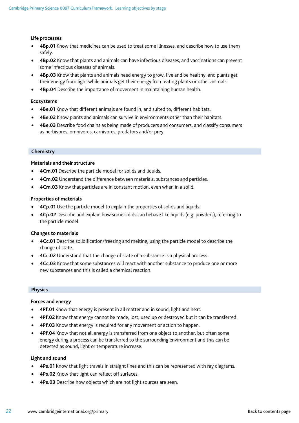#### **Life processes**

- **4Bp.01** Know that medicines can be used to treat some illnesses, and describe how to use them safely.
- **4Bp.02** Know that plants and animals can have infectious diseases, and vaccinations can prevent some infectious diseases of animals.
- **4Bp.03** Know that plants and animals need energy to grow, live and be healthy, and plants get their energy from light while animals get their energy from eating plants or other animals.
- **4Bp.04** Describe the importance of movement in maintaining human health.

#### **Ecosystems**

- **4Be.01** Know that different animals are found in, and suited to, different habitats.
- **4Be.02** Know plants and animals can survive in environments other than their habitats.
- **4Be.03** Describe food chains as being made of producers and consumers, and classify consumers as herbivores, omnivores, carnivores, predators and/or prey.

#### **Chemistry**

#### **Materials and their structure**

- **4Cm.01** Describe the particle model for solids and liquids.
- **4Cm.02** Understand the difference between materials, substances and particles.
- **4Cm.03** Know that particles are in constant motion, even when in a solid.

#### **Properties of materials**

- **4Cp.01** Use the particle model to explain the properties of solids and liquids.
- **4Cp.02** Describe and explain how some solids can behave like liquids (e.g. powders), referring to the particle model.

#### **Changes to materials**

- **4Cc.01** Describe solidification/freezing and melting, using the particle model to describe the change of state.
- **4Cc.02** Understand that the change of state of a substance is a physical process.
- **4Cc.03** Know that some substances will react with another substance to produce one or more new substances and this is called a chemical reaction.

#### **Physics**

#### **Forces and energy**

- **4Pf.01** Know that energy is present in all matter and in sound, light and heat.
- **4Pf.02** Know that energy cannot be made, lost, used up or destroyed but it can be transferred.
- **4Pf.03** Know that energy is required for any movement or action to happen.
- **4Pf.04** Know that not all energy is transferred from one object to another, but often some energy during a process can be transferred to the surrounding environment and this can be detected as sound, light or temperature increase.

#### **Light and sound**

- **4Ps.01** Know that light travels in straight lines and this can be represented with ray diagrams.
- **4Ps.02** Know that light can reflect off surfaces.
- **4Ps.03** Describe how objects which are not light sources are seen.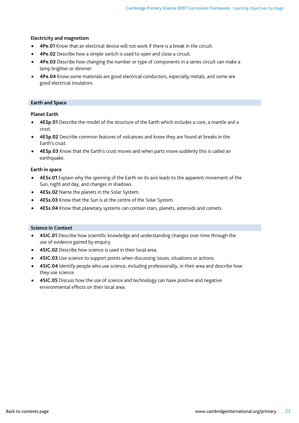#### **Electricity and magnetism**

- **4Pe.01** Know that an electrical device will not work if there is a break in the circuit.
- **4Pe.02** Describe how a simple switch is used to open and close a circuit.
- **4Pe.03** Describe how changing the number or type of components in a series circuit can make a lamp brighter or dimmer.
- **4Pe.04** Know some materials are good electrical conductors, especially metals, and some are good electrical insulators.

#### **Earth and Space**

 **Planet Earth**

- **4ESp.01** Describe the model of the structure of the Earth which includes a core, a mantle and a crust.
- **4ESp.02** Describe common features of volcanoes and know they are found at breaks in the Earth's crust.
- **4ESp.03** Know that the Earth's crust moves and when parts move suddenly this is called an earthquake.

#### **Earth in space**

- **4ESs.01** Explain why the spinning of the Earth on its axis leads to the apparent movement of the Sun, night and day, and changes in shadows.
- **4ESs.02** Name the planets in the Solar System.
- **4ESs.03** Know that the Sun is at the centre of the Solar System.
- **4ESs.04** Know that planetary systems can contain stars, planets, asteroids and comets.

#### **Science in Context**

- **4SIC.01** Describe how scientific knowledge and understanding changes over time through the use of evidence gained by enquiry.
- **4SIC.02** Describe how science is used in their local area.
- **4SIC.03** Use science to support points when discussing issues, situations or actions.
- **4SIC.04** Identify people who use science, including professionally, in their area and describe how they use science.
- **4SIC.05** Discuss how the use of science and technology can have positive and negative environmental effects on their local area.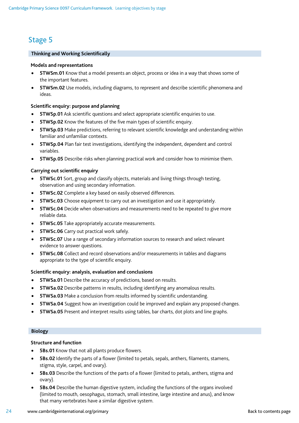# <span id="page-23-0"></span>Stage 5

#### **Thinking and Working Scientifically**

#### **Models and representations**

- **5TWSm.01** Know that a model presents an object, process or idea in a way that shows some of the important features.
- **5TWSm.02** Use models, including diagrams, to represent and describe scientific phenomena and ideas.

#### **Scientific enquiry: purpose and planning**

- **5TWSp.01** Ask scientific questions and select appropriate scientific enquiries to use.
- **5TWSp.02** Know the features of the five main types of scientific enquiry.
- **5TWSp.03** Make predictions, referring to relevant scientific knowledge and understanding within familiar and unfamiliar contexts.
- **5TWSp.04** Plan fair test investigations, identifying the independent, dependent and control variables.
- **5TWSp.05** Describe risks when planning practical work and consider how to minimise them.

#### **Carrying out scientific enquiry**

- **5TWSc.01** Sort, group and classify objects, materials and living things through testing, observation and using secondary information.
- **5TWSc.02** Complete a key based on easily observed differences.
- **5TWSc.03** Choose equipment to carry out an investigation and use it appropriately.
- **5TWSc.04** Decide when observations and measurements need to be repeated to give more reliable data.
- **5TWSc.05** Take appropriately accurate measurements.
- **5TWSc.06** Carry out practical work safely.
- **5TWSc.07** Use a range of secondary information sources to research and select relevant evidence to answer questions.
- **5TWSc.08** Collect and record observations and/or measurements in tables and diagrams appropriate to the type of scientific enquiry.

#### **Scientific enquiry: analysis, evaluation and conclusions**

- **5TWSa.01** Describe the accuracy of predictions, based on results.
- **5TWSa.02** Describe patterns in results, including identifying any anomalous results.
- **5TWSa.03** Make a conclusion from results informed by scientific understanding.
- **5TWSa.04** Suggest how an investigation could be improved and explain any proposed changes.
- **5TWSa.05** Present and interpret results using tables, bar charts, dot plots and line graphs.

#### **Biology**

#### **Structure and function**

- **5Bs.01** Know that not all plants produce flowers.
- **5Bs.02** Identify the parts of a flower (limited to petals, sepals, anthers, filaments, stamens, stigma, style, carpel, and ovary).
- **5Bs.03** Describe the functions of the parts of a flower (limited to petals, anthers, stigma and ovary).
- **5Bs.04** Describe the human digestive system, including the functions of the organs involved (limited to mouth, oesophagus, stomach, small intestine, large intestine and anus), and know that many vertebrates have a similar digestive system.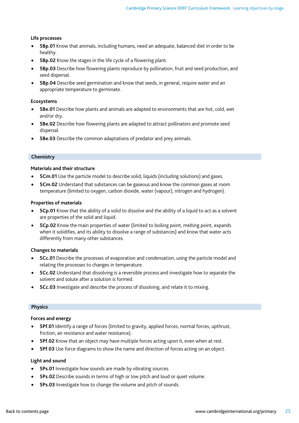#### **Life processes**

- **5Bp.01** Know that animals, including humans, need an adequate, balanced diet in order to be healthy.
- **5Bp.02** Know the stages in the life cycle of a flowering plant.
- **5Bp.03** Describe how flowering plants reproduce by pollination, fruit and seed production, and seed dispersal.
- **5Bp.04** Describe seed germination and know that seeds, in general, require water and an appropriate temperature to germinate.

#### **Ecosystems**

- **5Be.01** Describe how plants and animals are adapted to environments that are hot, cold, wet and/or dry.
- **5Be.02** Describe how flowering plants are adapted to attract pollinators and promote seed dispersal.
- **5Be.03** Describe the common adaptations of predator and prey animals.

#### **Chemistry**

#### **Materials and their structure**

- **5Cm.01** Use the particle model to describe solid, liquids (including solutions) and gases.
- **5Cm.02** Understand that substances can be gaseous and know the common gases at room temperature (limited to oxygen, carbon dioxide, water (vapour), nitrogen and hydrogen).

#### **Properties of materials**

- **5Cp.01** Know that the ability of a solid to dissolve and the ability of a liquid to act as a solvent are properties of the solid and liquid.
- **5Cp.02** Know the main properties of water (limited to boiling point, melting point, expands when it solidifies, and its ability to dissolve a range of substances) and know that water acts differently from many other substances.

#### **Changes to materials**

- **5Cc.01** Describe the processes of evaporation and condensation, using the particle model and relating the processes to changes in temperature.
- **5Cc.02** Understand that dissolving is a reversible process and investigate how to separate the solvent and solute after a solution is formed.
- **5Cc.03** Investigate and describe the process of dissolving, and relate it to mixing.

#### **Physics**

#### **Forces and energy**

- **5Pf.01** Identify a range of forces (limited to gravity, applied forces, normal forces, upthrust, friction, air resistance and water resistance).
- **5Pf.02** Know that an object may have multiple forces acting upon it, even when at rest.
- **5Pf.03** Use force diagrams to show the name and direction of forces acting on an object.

#### **Light and sound**

- **5Ps.01** Investigate how sounds are made by vibrating sources.
- **5Ps.02** Describe sounds in terms of high or low pitch and loud or quiet volume.
- **5Ps.03** Investigate how to change the volume and pitch of sounds.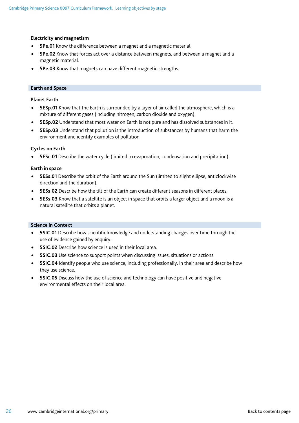#### **Electricity and magnetism**

- **5Pe.01** Know the difference between a magnet and a magnetic material.
- **5Pe.02** Know that forces act over a distance between magnets, and between a magnet and a magnetic material.
- **5Pe.03** Know that magnets can have different magnetic strengths.

#### **Earth and Space**

#### **Planet Earth**

- **5ESp.01** Know that the Earth is surrounded by a layer of air called the atmosphere, which is a mixture of different gases (including nitrogen, carbon dioxide and oxygen).
- **5ESp.02** Understand that most water on Earth is not pure and has dissolved substances in it.
- **5ESp.03** Understand that pollution is the introduction of substances by humans that harm the environment and identify examples of pollution.

#### **Cycles on Earth**

• **5ESc.01** Describe the water cycle (limited to evaporation, condensation and precipitation).

#### **Earth in space**

- **5ESs.01** Describe the orbit of the Earth around the Sun (limited to slight ellipse, anticlockwise direction and the duration).
- **5ESs.02** Describe how the tilt of the Earth can create different seasons in different places.
- **5ESs.03** Know that a satellite is an object in space that orbits a larger object and a moon is a natural satellite that orbits a planet.

#### **Science in Context**

- **5SIC.01** Describe how scientific knowledge and understanding changes over time through the use of evidence gained by enquiry.
- **5SIC.02** Describe how science is used in their local area.
- **5SIC.03** Use science to support points when discussing issues, situations or actions.
- **5SIC.04** Identify people who use science, including professionally, in their area and describe how they use science.
- **5SIC.05** Discuss how the use of science and technology can have positive and negative environmental effects on their local area.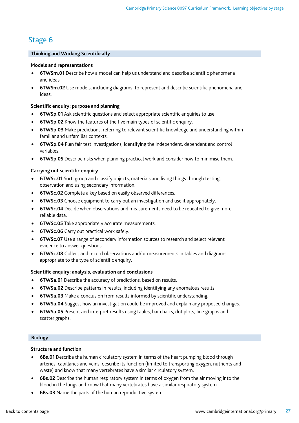### <span id="page-26-0"></span>Stage 6

#### **Thinking and Working Scientifically**

#### **Models and representations**

- **6TWSm.01** Describe how a model can help us understand and describe scientific phenomena and ideas.
- **6TWSm.02** Use models, including diagrams, to represent and describe scientific phenomena and ideas.

#### **Scientific enquiry: purpose and planning**

- **6TWSp.01** Ask scientific questions and select appropriate scientific enquiries to use.
- **6TWSp.02** Know the features of the five main types of scientific enquiry.
- **6TWSp.03** Make predictions, referring to relevant scientific knowledge and understanding within familiar and unfamiliar contexts.
- **6TWSp.04** Plan fair test investigations, identifying the independent, dependent and control variables.
- **6TWSp.05** Describe risks when planning practical work and consider how to minimise them.

#### **Carrying out scientific enquiry**

- **6TWSc.01** Sort, group and classify objects, materials and living things through testing, observation and using secondary information.
- **6TWSc.02** Complete a key based on easily observed differences.
- **6TWSc.03** Choose equipment to carry out an investigation and use it appropriately.
- **6TWSc.04** Decide when observations and measurements need to be repeated to give more reliable data.
- **6TWSc.05** Take appropriately accurate measurements.
- **6TWSc.06** Carry out practical work safely.
- **6TWSc.07** Use a range of secondary information sources to research and select relevant evidence to answer questions.
- **6TWSc.08** Collect and record observations and/or measurements in tables and diagrams appropriate to the type of scientific enquiry.

#### **Scientific enquiry: analysis, evaluation and conclusions**

- **6TWSa.01** Describe the accuracy of predictions, based on results.
- **6TWSa.02** Describe patterns in results, including identifying any anomalous results.
- **6TWSa.03** Make a conclusion from results informed by scientific understanding.
- **6TWSa.04** Suggest how an investigation could be improved and explain any proposed changes.
- **6TWSa.05** Present and interpret results using tables, bar charts, dot plots, line graphs and scatter graphs.

#### **Biology**

#### **Structure and function**

- **6Bs.01** Describe the human circulatory system in terms of the heart pumping blood through arteries, capillaries and veins, describe its function (limited to transporting oxygen, nutrients and waste) and know that many vertebrates have a similar circulatory system.
- **6Bs.02** Describe the human respiratory system in terms of oxygen from the air moving into the blood in the lungs and know that many vertebrates have a similar respiratory system.
- **6Bs.03** Name the parts of the human reproductive system.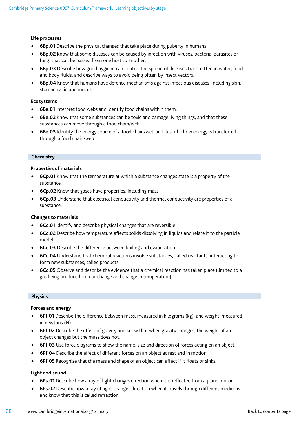#### **Life processes**

- **6Bp.01** Describe the physical changes that take place during puberty in humans.
- **6Bp.02** Know that some diseases can be caused by infection with viruses, bacteria, parasites or fungi that can be passed from one host to another.
- **6Bp.03** Describe how good hygiene can control the spread of diseases transmitted in water, food and body fluids, and describe ways to avoid being bitten by insect vectors.
- **6Bp.04** Know that humans have defence mechanisms against infectious diseases, including skin, stomach acid and mucus.

#### **Ecosystems**

- **6Be.01** Interpret food webs and identify food chains within them.
- **6Be.02** Know that some substances can be toxic and damage living things, and that these substances can move through a food chain/web.
- **6Be.03** Identify the energy source of a food chain/web and describe how energy is transferred through a food chain/web.

#### **Chemistry**

#### **Properties of materials**

- **6Cp.01** Know that the temperature at which a substance changes state is a property of the substance.
- **6Cp.02** Know that gases have properties, including mass.
- **6Cp.03** Understand that electrical conductivity and thermal conductivity are properties of a substance.

#### **Changes to materials**

- **6Cc.01** Identify and describe physical changes that are reversible.
- **6Cc.02** Describe how temperature affects solids dissolving in liquids and relate it to the particle model.
- **6Cc.03** Describe the difference between boiling and evaporation.
- **6Cc.04** Understand that chemical reactions involve substances, called reactants, interacting to form new substances, called products.
- **6Cc.05** Observe and describe the evidence that a chemical reaction has taken place (limited to a gas being produced, colour change and change in temperature).

#### **Physics**

#### **Forces and energy**

- **6Pf.01** Describe the difference between mass, measured in kilograms (kg), and weight, measured in newtons (N)
- **6Pf.02** Describe the effect of gravity and know that when gravity changes, the weight of an object changes but the mass does not.
- **6Pf.03** Use force diagrams to show the name, size and direction of forces acting on an object.
- **6Pf.04** Describe the effect of different forces on an object at rest and in motion.
- **6Pf.05** Recognise that the mass and shape of an object can affect if it floats or sinks.

#### **Light and sound**

- **6Ps.01** Describe how a ray of light changes direction when it is reflected from a plane mirror.
- **6Ps.02** Describe how a ray of light changes direction when it travels through different mediums and know that this is called refraction.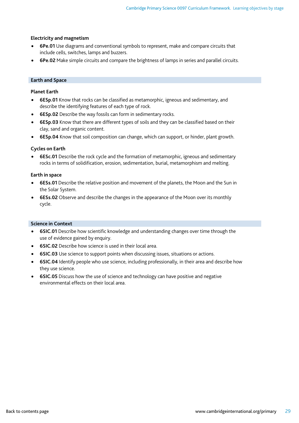#### **Electricity and magnetism**

- **6Pe.01** Use diagrams and conventional symbols to represent, make and compare circuits that include cells, switches, lamps and buzzers.
- **6Pe.02** Make simple circuits and compare the brightness of lamps in series and parallel circuits.

#### **Earth and Space**

#### **Planet Earth**

- **6ESp.01** Know that rocks can be classified as metamorphic, igneous and sedimentary, and describe the identifying features of each type of rock.
- **6ESp.02** Describe the way fossils can form in sedimentary rocks.
- **6ESp.03** Know that there are different types of soils and they can be classified based on their clay, sand and organic content.
- **6ESp.04** Know that soil composition can change, which can support, or hinder, plant growth.

#### **Cycles on Earth**

• **6ESc.01** Describe the rock cycle and the formation of metamorphic, igneous and sedimentary rocks in terms of solidification, erosion, sedimentation, burial, metamorphism and melting.

#### **Earth in space**

- **6ESs.01** Describe the relative position and movement of the planets, the Moon and the Sun in the Solar System.
- **6ESs.02** Observe and describe the changes in the appearance of the Moon over its monthly cycle.

#### **Science in Context**

- **6SIC.01** Describe how scientific knowledge and understanding changes over time through the use of evidence gained by enquiry.
- **6SIC.02** Describe how science is used in their local area.
- **6SIC.03** Use science to support points when discussing issues, situations or actions.
- **6SIC.04** Identify people who use science, including professionally, in their area and describe how they use science.
- **6SIC.05** Discuss how the use of science and technology can have positive and negative environmental effects on their local area.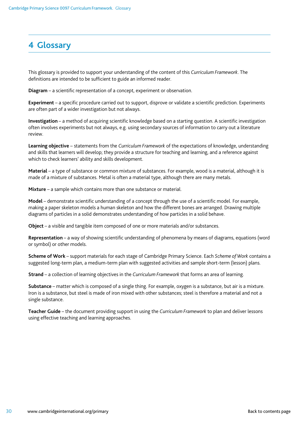### <span id="page-29-0"></span>**4 Glossary**

This glossary is provided to support your understanding of the content of this *Curriculum Framework*. The definitions are intended to be sufficient to guide an informed reader.

**Diagram** – a scientific representation of a concept, experiment or observation.

**Experiment** – a specific procedure carried out to support, disprove or validate a scientific prediction. Experiments are often part of a wider investigation but not always.

**Investigation** – a method of acquiring scientific knowledge based on a starting question. A scientific investigation often involves experiments but not always, e.g. using secondary sources of information to carry out a literature review.

**Learning objective** – statements from the *Curriculum Framework* of the expectations of knowledge, understanding and skills that learners will develop; they provide a structure for teaching and learning, and a reference against which to check learners' ability and skills development.

**Material** – a type of substance or common mixture of substances. For example, wood is a material, although it is made of a mixture of substances. Metal is often a material type, although there are many metals.

**Mixture** – a sample which contains more than one substance or material.

**Model** – demonstrate scientific understanding of a concept through the use of a scientific model. For example, making a paper skeleton models a human skeleton and how the different bones are arranged. Drawing multiple diagrams of particles in a solid demonstrates understanding of how particles in a solid behave.

**Object** – a visible and tangible item composed of one or more materials and/or substances.

**Representation** – a way of showing scientific understanding of phenomena by means of diagrams, equations (word or symbol) or other models.

**Scheme of Work** – support materials for each stage of Cambridge Primary Science. Each *Scheme of Work* contains a suggested long-term plan, a medium-term plan with suggested activities and sample short-term (lesson) plans.

**Strand** – a collection of learning objectives in the *Curriculum Framework* that forms an area of learning.

**Substance** – matter which is composed of a single thing. For example, oxygen is a substance, but air is a mixture. Iron is a substance, but steel is made of iron mixed with other substances; steel is therefore a material and not a single substance.

**Teacher Guide** – the document providing support in using the *Curriculum Framework* to plan and deliver lessons using effective teaching and learning approaches.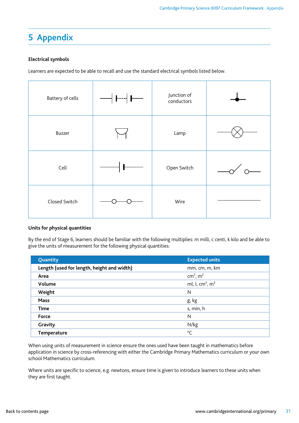# <span id="page-30-0"></span>**5 Appendix**

#### **Electrical symbols**

Learners are expected to be able to recall and use the standard electrical symbols listed below.

| Battery of cells | $\longrightarrow$ ----  ---- | Junction of<br>conductors |  |
|------------------|------------------------------|---------------------------|--|
| Buzzer           |                              | Lamp                      |  |
| Cell             | ľ                            | Open Switch               |  |
| Closed Switch    |                              | Wire                      |  |

#### **Units for physical quantities**

By the end of Stage 6, learners should be familiar with the following multiplies: m milli, c centi, k kilo and be able to give the units of measurement for the following physical quantities:

| Quantity                                   | <b>Expected units</b>                   |
|--------------------------------------------|-----------------------------------------|
| Length (used for length, height and width) | mm, cm, m, km                           |
| Area                                       | cm <sup>2</sup> , $m^2$                 |
| Volume                                     | ml, l, cm <sup>3</sup> , m <sup>3</sup> |
| Weight                                     | N                                       |
| <b>Mass</b>                                | g, kg                                   |
| <b>Time</b>                                | s, min, h                               |
| Force                                      | N                                       |
| Gravity                                    | N/kg                                    |
| <b>Temperature</b>                         | $^{\circ}$ C                            |

When using units of measurement in science ensure the ones used have been taught in mathematics before application in science by cross-referencing with either the Cambridge Primary Mathematics curriculum or your own school Mathematics curriculum.

Where units are specific to science, e.g. newtons, ensure time is given to introduce learners to these units when they are first taught.